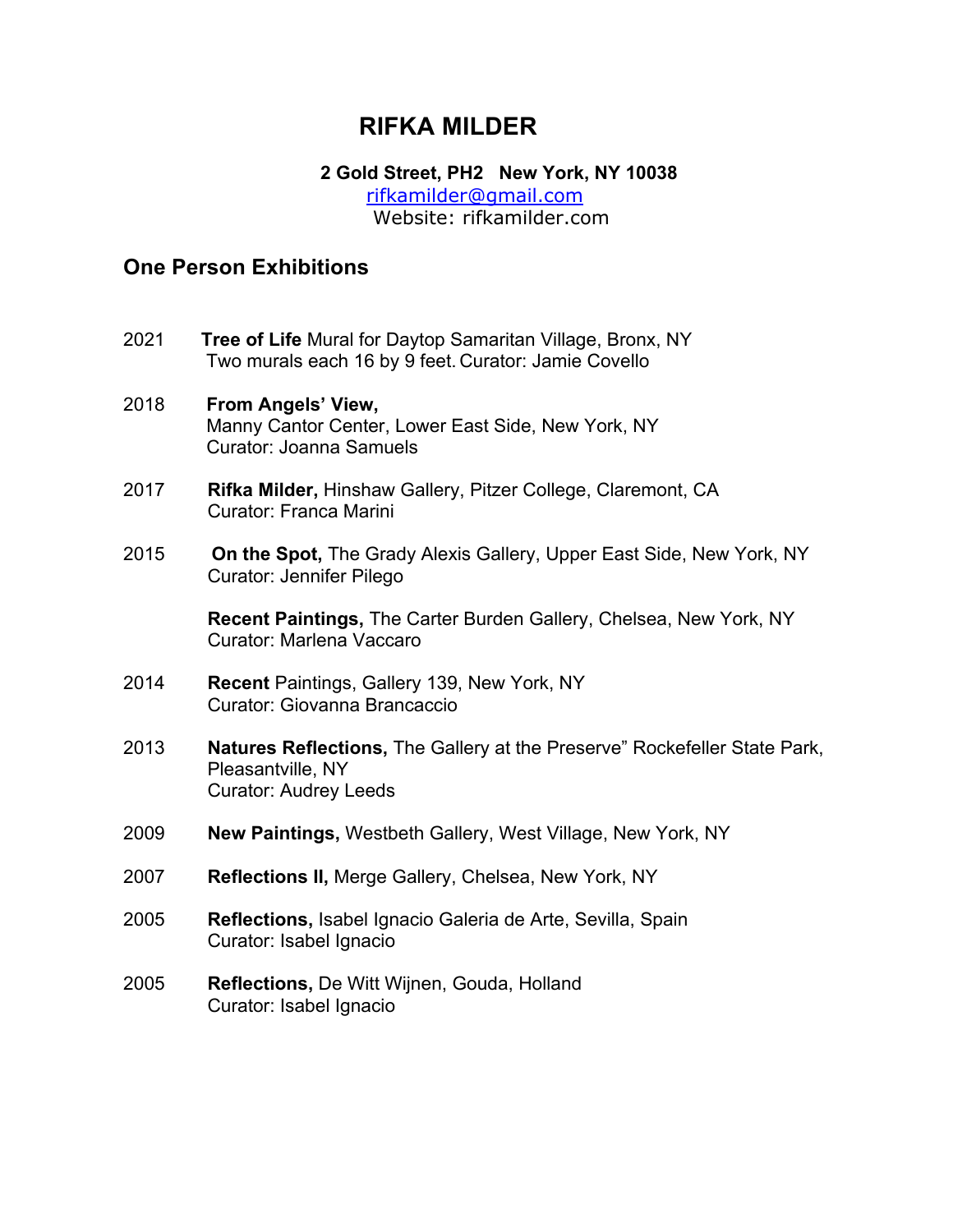## **RIFKA MILDER**

#### **2 Gold Street, PH2 New York, NY 10038**  rifkamilder@gmail.com Website: rifkamilder.com

### **One Person Exhibitions**

- 2021 **Tree of Life** Mural for Daytop Samaritan Village, Bronx, NY Two murals each 16 by 9 feet. Curator: Jamie Covello
- 2018 **From Angels' View,** Manny Cantor Center, Lower East Side, New York, NY Curator: Joanna Samuels
- 2017 **Rifka Milder,** Hinshaw Gallery, Pitzer College, Claremont, CA Curator: Franca Marini
- 2015 **On the Spot,** The Grady Alexis Gallery, Upper East Side, New York, NY Curator: Jennifer Pilego

**Recent Paintings,** The Carter Burden Gallery, Chelsea, New York, NY Curator: Marlena Vaccaro

- 2014 **Recent** Paintings, Gallery 139, New York, NY Curator: Giovanna Brancaccio
- 2013 **Natures Reflections,** The Gallery at the Preserve" Rockefeller State Park, Pleasantville, NY Curator: Audrey Leeds
- 2009 **New Paintings,** Westbeth Gallery, West Village, New York, NY
- 2007 **Reflections II,** Merge Gallery, Chelsea, New York, NY
- 2005 **Reflections,** Isabel Ignacio Galeria de Arte, Sevilla, Spain Curator: Isabel Ignacio
- 2005 **Reflections,** De Witt Wijnen, Gouda, Holland Curator: Isabel Ignacio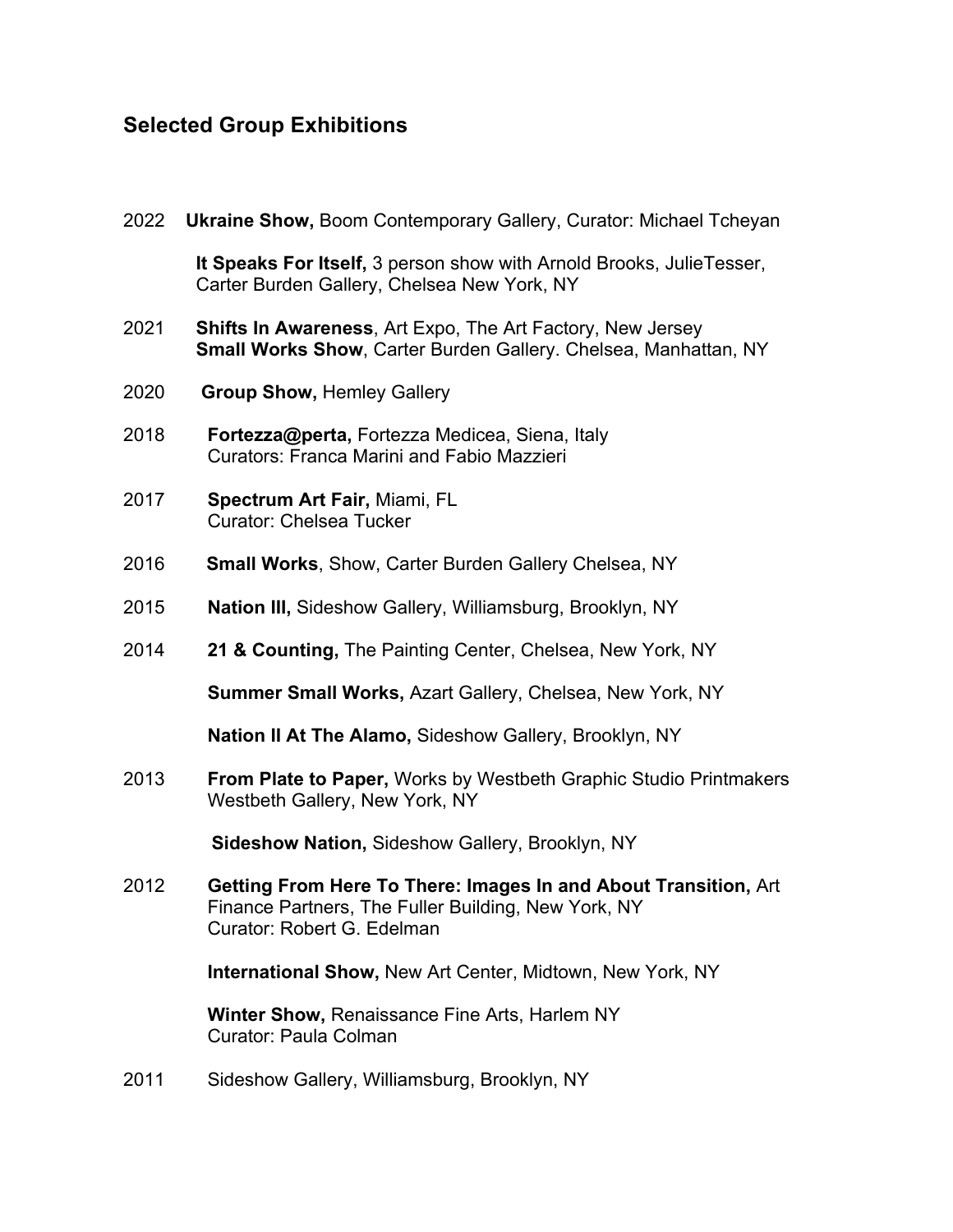# **Selected Group Exhibitions**

| 2022 | <b>Ukraine Show, Boom Contemporary Gallery, Curator: Michael Tcheyan</b>                                                                             |
|------|------------------------------------------------------------------------------------------------------------------------------------------------------|
|      | It Speaks For Itself, 3 person show with Arnold Brooks, Julie Tesser,<br>Carter Burden Gallery, Chelsea New York, NY                                 |
| 2021 | <b>Shifts In Awareness, Art Expo, The Art Factory, New Jersey</b><br><b>Small Works Show, Carter Burden Gallery. Chelsea, Manhattan, NY</b>          |
| 2020 | <b>Group Show, Hemley Gallery</b>                                                                                                                    |
| 2018 | Fortezza@perta, Fortezza Medicea, Siena, Italy<br><b>Curators: Franca Marini and Fabio Mazzieri</b>                                                  |
| 2017 | Spectrum Art Fair, Miami, FL<br><b>Curator: Chelsea Tucker</b>                                                                                       |
| 2016 | <b>Small Works, Show, Carter Burden Gallery Chelsea, NY</b>                                                                                          |
| 2015 | Nation III, Sideshow Gallery, Williamsburg, Brooklyn, NY                                                                                             |
| 2014 | 21 & Counting, The Painting Center, Chelsea, New York, NY                                                                                            |
|      | Summer Small Works, Azart Gallery, Chelsea, New York, NY                                                                                             |
|      | Nation II At The Alamo, Sideshow Gallery, Brooklyn, NY                                                                                               |
| 2013 | From Plate to Paper, Works by Westbeth Graphic Studio Printmakers<br>Westbeth Gallery, New York, NY                                                  |
|      | <b>Sideshow Nation, Sideshow Gallery, Brooklyn, NY</b>                                                                                               |
| 2012 | Getting From Here To There: Images In and About Transition, Art<br>Finance Partners, The Fuller Building, New York, NY<br>Curator: Robert G. Edelman |
|      | <b>International Show, New Art Center, Midtown, New York, NY</b>                                                                                     |
|      | Winter Show, Renaissance Fine Arts, Harlem NY<br>Curator: Paula Colman                                                                               |
| 2011 | Sideshow Gallery, Williamsburg, Brooklyn, NY                                                                                                         |
|      |                                                                                                                                                      |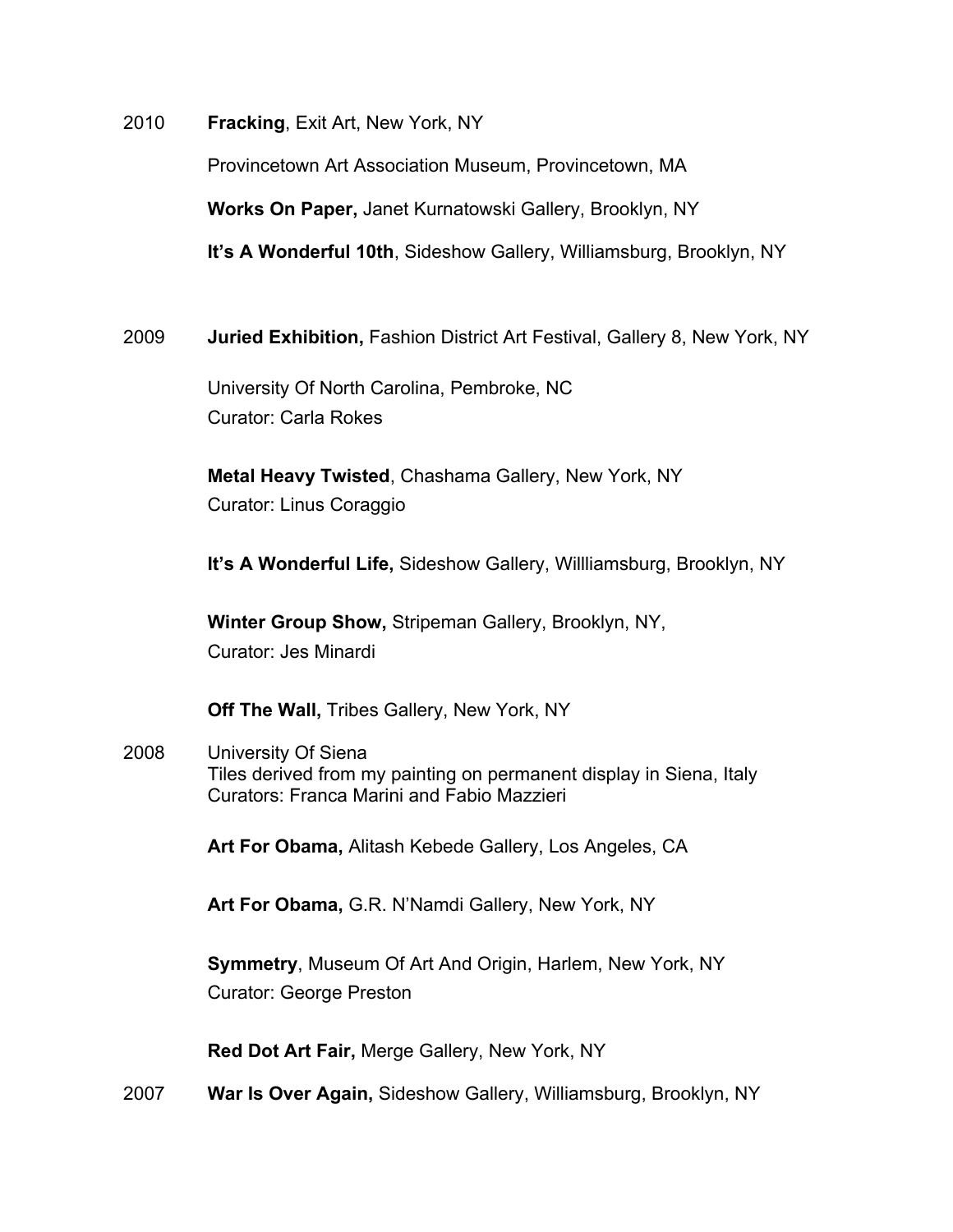2010 **Fracking**, Exit Art, New York, NY

Provincetown Art Association Museum, Provincetown, MA

**Works On Paper,** Janet Kurnatowski Gallery, Brooklyn, NY

**It's A Wonderful 10th**, Sideshow Gallery, Williamsburg, Brooklyn, NY

2009 **Juried Exhibition,** Fashion District Art Festival, Gallery 8, New York, NY

University Of North Carolina, Pembroke, NC Curator: Carla Rokes

**Metal Heavy Twisted**, Chashama Gallery, New York, NY Curator: Linus Coraggio

**It's A Wonderful Life,** Sideshow Gallery, Willliamsburg, Brooklyn, NY

**Winter Group Show,** Stripeman Gallery, Brooklyn, NY, Curator: Jes Minardi

**Off The Wall,** Tribes Gallery, New York, NY

2008 University Of Siena Tiles derived from my painting on permanent display in Siena, Italy Curators: Franca Marini and Fabio Mazzieri

**Art For Obama,** Alitash Kebede Gallery, Los Angeles, CA

**Art For Obama,** G.R. N'Namdi Gallery, New York, NY

**Symmetry**, Museum Of Art And Origin, Harlem, New York, NY Curator: George Preston

**Red Dot Art Fair,** Merge Gallery, New York, NY

2007 **War Is Over Again,** Sideshow Gallery, Williamsburg, Brooklyn, NY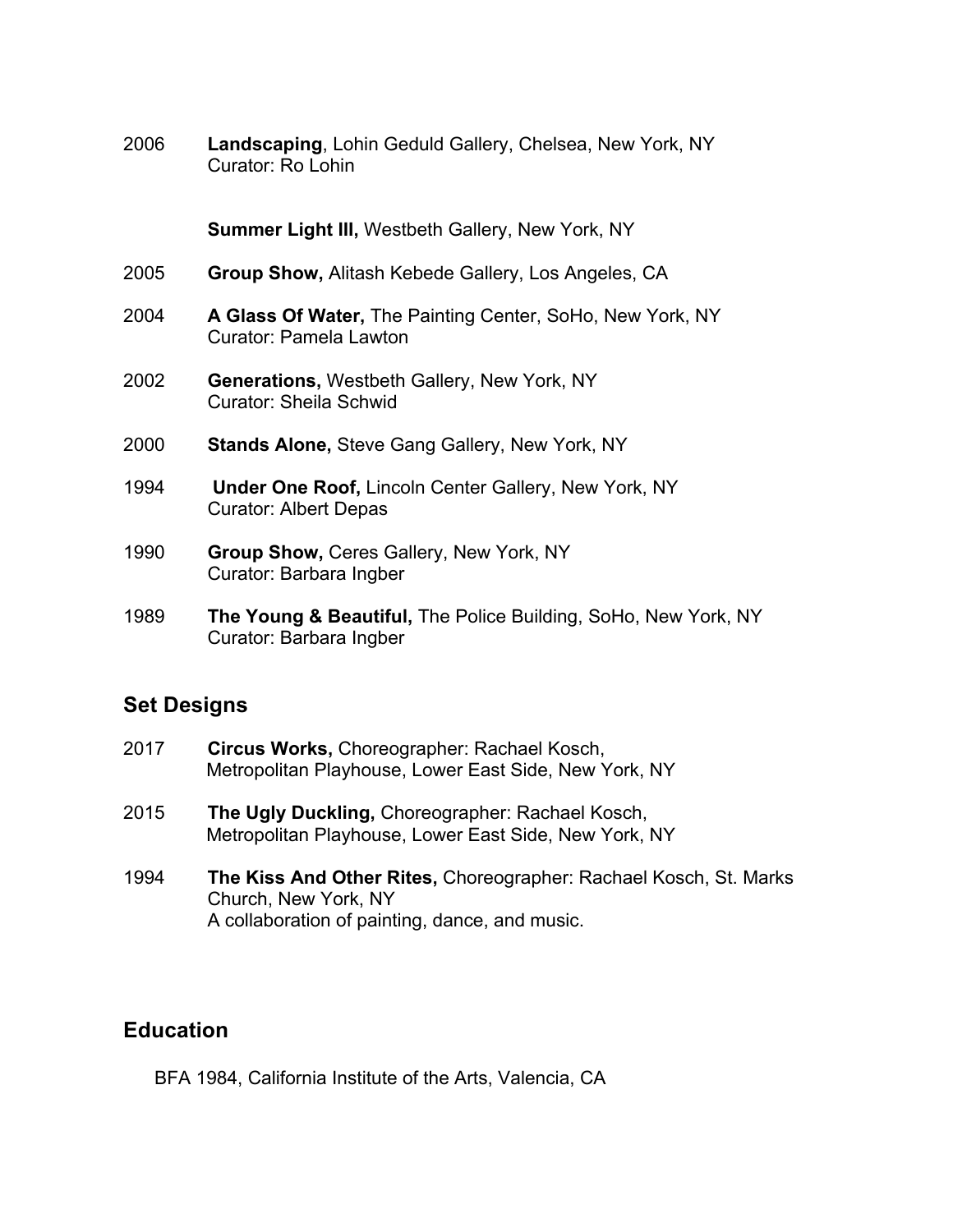2006 **Landscaping**, Lohin Geduld Gallery, Chelsea, New York, NY Curator: Ro Lohin

**Summer Light III,** Westbeth Gallery, New York, NY

- 2005 **Group Show,** Alitash Kebede Gallery, Los Angeles, CA
- 2004 **A Glass Of Water,** The Painting Center, SoHo, New York, NY Curator: Pamela Lawton
- 2002 **Generations,** Westbeth Gallery, New York, NY Curator: Sheila Schwid
- 2000 **Stands Alone,** Steve Gang Gallery, New York, NY
- 1994 **Under One Roof,** Lincoln Center Gallery, New York, NY Curator: Albert Depas
- 1990 **Group Show,** Ceres Gallery, New York, NY Curator: Barbara Ingber
- 1989 **The Young & Beautiful,** The Police Building, SoHo, New York, NY Curator: Barbara Ingber

#### **Set Designs**

- 2017 **Circus Works,** Choreographer: Rachael Kosch, Metropolitan Playhouse, Lower East Side, New York, NY
- 2015 **The Ugly Duckling,** Choreographer: Rachael Kosch, Metropolitan Playhouse, Lower East Side, New York, NY
- 1994 **The Kiss And Other Rites,** Choreographer: Rachael Kosch, St. Marks Church, New York, NY A collaboration of painting, dance, and music.

#### **Education**

BFA 1984, California Institute of the Arts, Valencia, CA